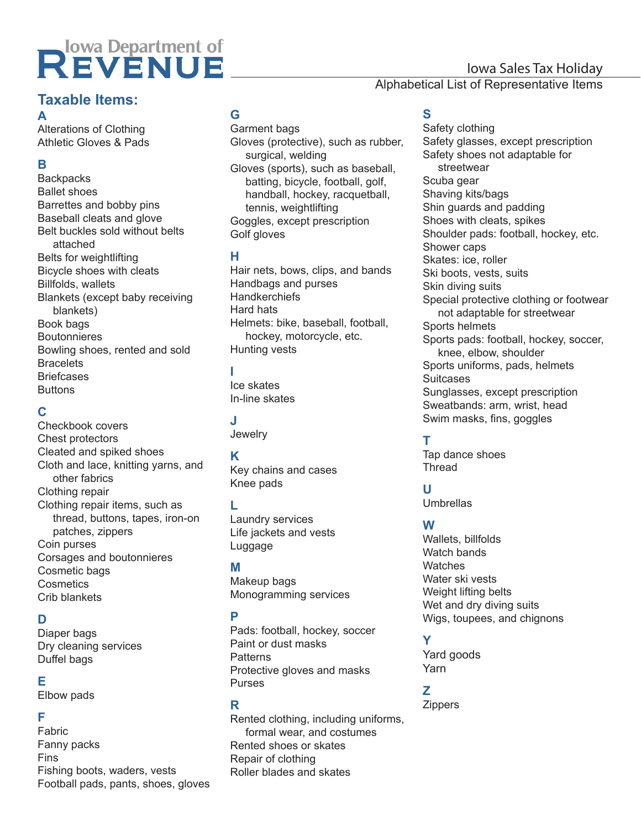# REVENUE

# Iowa Sales Tax Holiday

#### Alphabetical List of Representative Items

#### **Taxable Items: A**

Alterations of Clothing Athletic Gloves & Pads

# **B**

**Backpacks** Ballet shoes Barrettes and bobby pins Baseball cleats and glove Belt buckles sold without belts attached Belts for weightlifting Bicycle shoes with cleats Billfolds, wallets Blankets (except baby receiving blankets) Book bags **Boutonnieres** Bowling shoes, rented and sold **Bracelets Briefcases Buttons** 

# **C**

Checkbook covers Chest protectors Cleated and spiked shoes Cloth and lace, knitting yarns, and other fabrics Clothing repair Clothing repair items, such as thread, buttons, tapes, iron-on patches, zippers Coin purses Corsages and boutonnieres Cosmetic bags **Cosmetics** Crib blankets

# **D**

Diaper bags Dry cleaning services Duffel bags

#### **E**

Elbow pads

#### **F**

Fabric Fanny packs Fins Fishing boots, waders, vests Football pads, pants, shoes, gloves

## **G**

Garment bags Gloves (protective), such as rubber, surgical, welding Gloves (sports), such as baseball, batting, bicycle, football, golf, handball, hockey, racquetball, tennis, weightlifting Goggles, except prescription Golf gloves

#### **H**

Hair nets, bows, clips, and bands Handbags and purses **Handkerchiefs** Hard hats Helmets: bike, baseball, football, hockey, motorcycle, etc. Hunting vests

## **I**

Ice skates In-line skates

# **J**

**Jewelry** 

## **K**

Key chains and cases Knee pads

## **L**

Laundry services Life jackets and vests Luggage

#### **M**

Makeup bags Monogramming services

## **P**

Pads: football, hockey, soccer Paint or dust masks **Patterns** Protective gloves and masks Purses

#### **R**

Rented clothing, including uniforms, formal wear, and costumes Rented shoes or skates Repair of clothing Roller blades and skates

# **S**

Safety clothing Safety glasses, except prescription Safety shoes not adaptable for streetwear Scuba gear Shaving kits/bags Shin guards and padding Shoes with cleats, spikes Shoulder pads: football, hockey, etc. Shower caps Skates: ice, roller Ski boots, vests, suits Skin diving suits Special protective clothing or footwear not adaptable for streetwear Sports helmets Sports pads: football, hockey, soccer, knee, elbow, shoulder Sports uniforms, pads, helmets **Suitcases** Sunglasses, except prescription Sweatbands: arm, wrist, head Swim masks, fins, goggles

# **T**

Tap dance shoes **Thread** 

## **U**

Umbrellas

# **W**

Wallets, billfolds Watch bands **Watches** Water ski vests Weight lifting belts Wet and dry diving suits Wigs, toupees, and chignons

# **Y**

Yard goods Yarn

#### **Z**

Zippers